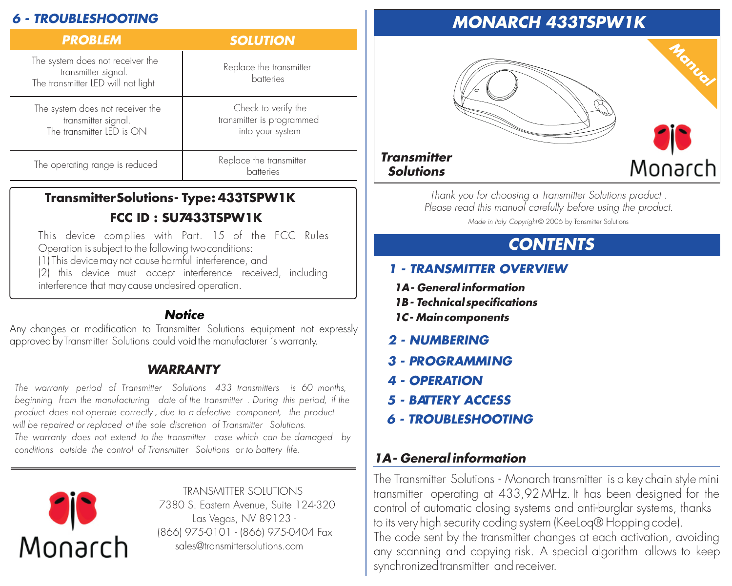# *6 - TROUBLESHOOTING*

| <b>PROBLEM</b>                                                                                | <b>SOLUTION</b>                                                      |
|-----------------------------------------------------------------------------------------------|----------------------------------------------------------------------|
| The system does not receiver the<br>transmitter signal.<br>The transmitter LED will not light | Replace the transmitter<br>batteries                                 |
| The system does not receiver the<br>transmitter signal.<br>The transmitter LED is ON          | Check to verify the<br>transmitter is programmed<br>into your system |
| The operating range is reduced                                                                | Replace the transmitter<br>batteries                                 |

# **TransmitterSolutions- Type: 433TSPW1K FCC ID : SU7433TSPW1K**

This device complies with Part. T5 of the FCC Rules Operation issubject to the following twoconditions: (1) This devicemay not cause harmful interference, and

(2) this device must accept interference received, including interference that may cause undesired operation.

## *Notice*

Any changes or moditication to Transmitter Solutions equipment not expressly approved by Transmitter Solutions could void the manutacturer 's warranty.

# *WARRANTY*

*The warranty period of 433 transmitters is 60 months, Transmitter Solutions beginning from the manufacturing date of the transmitter . During this period, if the product does not operate correctly , due to a defective component, the product will be repaired or replaced at the sole discretion of Transmitter Solutions. The warranty does not extend to the transmitter case which can be damaged by conditions outside the control of Transmitter Solutions or to battery life.*



TRANSMITTER SOLUTIONS 7380 S. Eastern Avenue, Suite 124-320 Las Vegas, NV 89123 - (866) 975-0101 - (866) 975-0404 Fax sales@transmittersolutions.com

# *MONARCH 433TSPW1K*



#### *Transmitter Solutions*

*Thank you for choosing a Transmitter Solutions product . Please read this manual carefully before using the product. Made in Italy. Copyright* © 2006 by Transmitter Solutions

# *CONTENTS*

# *1 - TRANSMITTER OVERVIEW*

- *1A- General information*
- *1B- Technicalspecifications*
- *1C- Maincomponents*
- *2 NUMBERING*
- *3 PROGRAMMING*
- *4 OPERATION*
- *5 BATTERY ACCESS*
- *6 TROUBLESHOOTING*

# *1A- General information*

The Transmitter Solutions - Monarch transmitter is a key chain style mini transmitter operating at 433,92 MHz. It has been designed for the control of automatic closing systems and anti-burglar systems, thanks to its very high security coding system (KeeLog® Hopping code). The code sent by the transmitter changes at each activation, avoiding any scanning and copying risk. A special algorithm allows to keep synchronized transmitter and receiver.